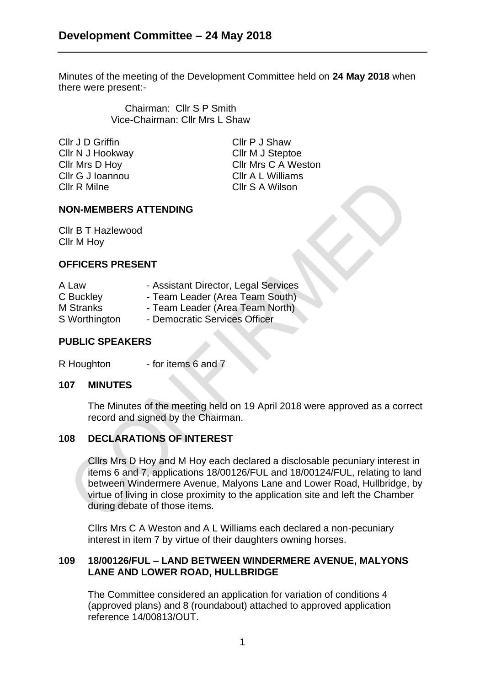Minutes of the meeting of the Development Committee held on **24 May 2018** when there were present:-

> Chairman: Cllr S P Smith Vice-Chairman: Cllr Mrs L Shaw

Cllr J D Griffin Cllr P J Shaw Cllr N J Hookway Cllr M J Steptoe Cllr G J Ioannou Cllr A L Williams Cllr R Milne Cllr S A Wilson

Cllr Mrs D Hoy Cllr Mrs C A Weston

### **NON-MEMBERS ATTENDING**

Cllr B T Hazlewood Cllr M Hoy

#### **OFFICERS PRESENT**

| A Law            | - Assistant Director, Legal Services |
|------------------|--------------------------------------|
| C Buckley        | - Team Leader (Area Team South)      |
| <b>M</b> Stranks | - Team Leader (Area Team North)      |
| S Worthington    | - Democratic Services Officer        |

### **PUBLIC SPEAKERS**

R Houghton - for items 6 and 7

#### **107 MINUTES**

The Minutes of the meeting held on 19 April 2018 were approved as a correct record and signed by the Chairman.

# **108 DECLARATIONS OF INTEREST**

Cllrs Mrs D Hoy and M Hoy each declared a disclosable pecuniary interest in items 6 and 7, applications 18/00126/FUL and 18/00124/FUL, relating to land between Windermere Avenue, Malyons Lane and Lower Road, Hullbridge, by virtue of living in close proximity to the application site and left the Chamber during debate of those items.

Cllrs Mrs C A Weston and A L Williams each declared a non-pecuniary interest in item 7 by virtue of their daughters owning horses.

#### **109 18/00126/FUL – LAND BETWEEN WINDERMERE AVENUE, MALYONS LANE AND LOWER ROAD, HULLBRIDGE**

The Committee considered an application for variation of conditions 4 (approved plans) and 8 (roundabout) attached to approved application reference 14/00813/OUT.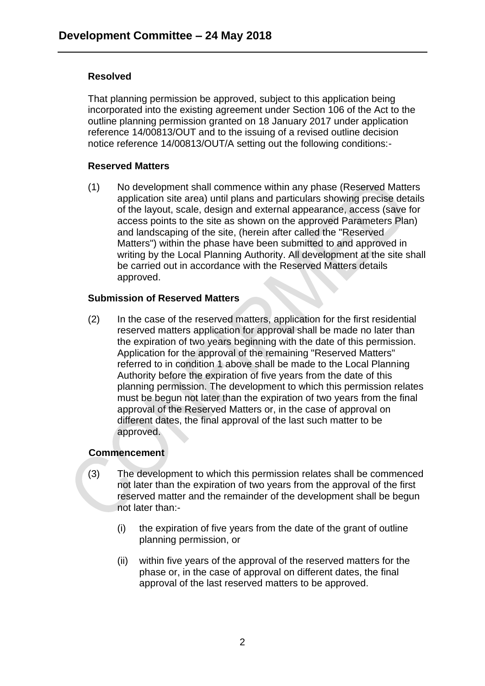### **Resolved**

That planning permission be approved, subject to this application being incorporated into the existing agreement under Section 106 of the Act to the outline planning permission granted on 18 January 2017 under application reference 14/00813/OUT and to the issuing of a revised outline decision notice reference 14/00813/OUT/A setting out the following conditions:-

### **Reserved Matters**

(1) No development shall commence within any phase (Reserved Matters application site area) until plans and particulars showing precise details of the layout, scale, design and external appearance, access (save for access points to the site as shown on the approved Parameters Plan) and landscaping of the site, (herein after called the "Reserved Matters") within the phase have been submitted to and approved in writing by the Local Planning Authority. All development at the site shall be carried out in accordance with the Reserved Matters details approved.

# **Submission of Reserved Matters**

(2) In the case of the reserved matters, application for the first residential reserved matters application for approval shall be made no later than the expiration of two years beginning with the date of this permission. Application for the approval of the remaining "Reserved Matters" referred to in condition 1 above shall be made to the Local Planning Authority before the expiration of five years from the date of this planning permission. The development to which this permission relates must be begun not later than the expiration of two years from the final approval of the Reserved Matters or, in the case of approval on different dates, the final approval of the last such matter to be approved.

# **Commencement**

- (3) The development to which this permission relates shall be commenced not later than the expiration of two years from the approval of the first reserved matter and the remainder of the development shall be begun not later than:-
	- (i) the expiration of five years from the date of the grant of outline planning permission, or
	- (ii) within five years of the approval of the reserved matters for the phase or, in the case of approval on different dates, the final approval of the last reserved matters to be approved.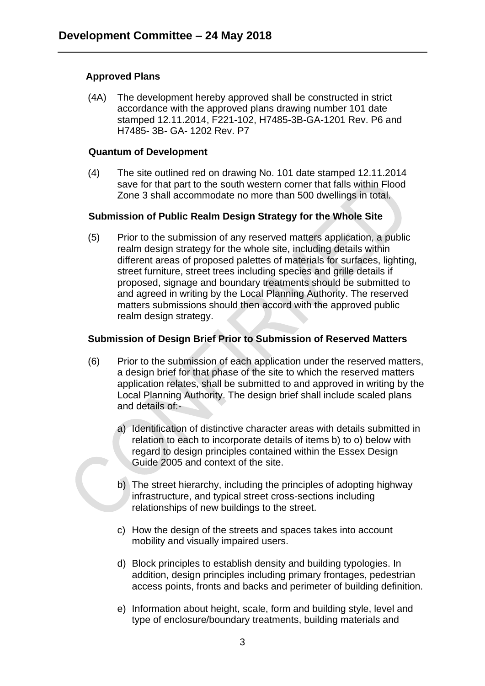## **Approved Plans**

(4A) The development hereby approved shall be constructed in strict accordance with the approved plans drawing number 101 date stamped 12.11.2014, F221-102, H7485-3B-GA-1201 Rev. P6 and H7485- 3B- GA- 1202 Rev. P7

#### **Quantum of Development**

(4) The site outlined red on drawing No. 101 date stamped 12.11.2014 save for that part to the south western corner that falls within Flood Zone 3 shall accommodate no more than 500 dwellings in total.

### **Submission of Public Realm Design Strategy for the Whole Site**

(5) Prior to the submission of any reserved matters application, a public realm design strategy for the whole site, including details within different areas of proposed palettes of materials for surfaces, lighting, street furniture, street trees including species and grille details if proposed, signage and boundary treatments should be submitted to and agreed in writing by the Local Planning Authority. The reserved matters submissions should then accord with the approved public realm design strategy.

# **Submission of Design Brief Prior to Submission of Reserved Matters**

- (6) Prior to the submission of each application under the reserved matters, a design brief for that phase of the site to which the reserved matters application relates, shall be submitted to and approved in writing by the Local Planning Authority. The design brief shall include scaled plans and details of:
	- a) Identification of distinctive character areas with details submitted in relation to each to incorporate details of items b) to o) below with regard to design principles contained within the Essex Design Guide 2005 and context of the site.
	- b) The street hierarchy, including the principles of adopting highway infrastructure, and typical street cross-sections including relationships of new buildings to the street.
	- c) How the design of the streets and spaces takes into account mobility and visually impaired users.
	- d) Block principles to establish density and building typologies. In addition, design principles including primary frontages, pedestrian access points, fronts and backs and perimeter of building definition.
	- e) Information about height, scale, form and building style, level and type of enclosure/boundary treatments, building materials and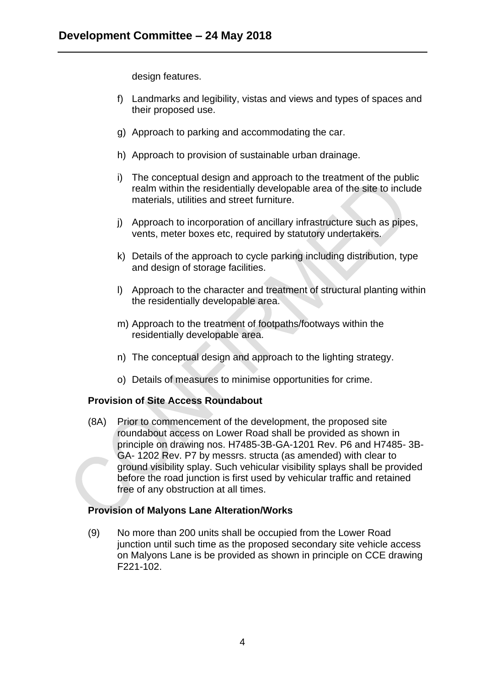design features.

- f) Landmarks and legibility, vistas and views and types of spaces and their proposed use.
- g) Approach to parking and accommodating the car.
- h) Approach to provision of sustainable urban drainage.
- i) The conceptual design and approach to the treatment of the public realm within the residentially developable area of the site to include materials, utilities and street furniture.
- j) Approach to incorporation of ancillary infrastructure such as pipes, vents, meter boxes etc, required by statutory undertakers.
- k) Details of the approach to cycle parking including distribution, type and design of storage facilities.
- l) Approach to the character and treatment of structural planting within the residentially developable area.
- m) Approach to the treatment of footpaths/footways within the residentially developable area.
- n) The conceptual design and approach to the lighting strategy.
- o) Details of measures to minimise opportunities for crime.

#### **Provision of Site Access Roundabout**

(8A) Prior to commencement of the development, the proposed site roundabout access on Lower Road shall be provided as shown in principle on drawing nos. H7485-3B-GA-1201 Rev. P6 and H7485- 3B-GA- 1202 Rev. P7 by messrs. structa (as amended) with clear to ground visibility splay. Such vehicular visibility splays shall be provided before the road junction is first used by vehicular traffic and retained free of any obstruction at all times.

#### **Provision of Malyons Lane Alteration/Works**

(9) No more than 200 units shall be occupied from the Lower Road junction until such time as the proposed secondary site vehicle access on Malyons Lane is be provided as shown in principle on CCE drawing F221-102.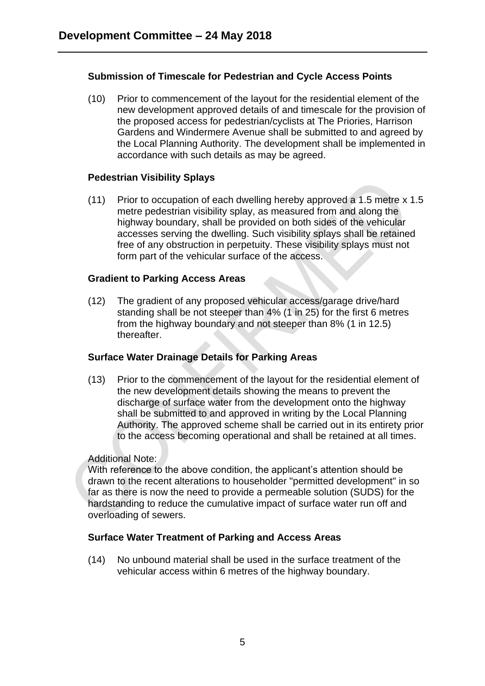## **Submission of Timescale for Pedestrian and Cycle Access Points**

(10) Prior to commencement of the layout for the residential element of the new development approved details of and timescale for the provision of the proposed access for pedestrian/cyclists at The Priories, Harrison Gardens and Windermere Avenue shall be submitted to and agreed by the Local Planning Authority. The development shall be implemented in accordance with such details as may be agreed.

#### **Pedestrian Visibility Splays**

(11) Prior to occupation of each dwelling hereby approved a 1.5 metre x 1.5 metre pedestrian visibility splay, as measured from and along the highway boundary, shall be provided on both sides of the vehicular accesses serving the dwelling. Such visibility splays shall be retained free of any obstruction in perpetuity. These visibility splays must not form part of the vehicular surface of the access.

### **Gradient to Parking Access Areas**

(12) The gradient of any proposed vehicular access/garage drive/hard standing shall be not steeper than 4% (1 in 25) for the first 6 metres from the highway boundary and not steeper than 8% (1 in 12.5) thereafter.

#### **Surface Water Drainage Details for Parking Areas**

(13) Prior to the commencement of the layout for the residential element of the new development details showing the means to prevent the discharge of surface water from the development onto the highway shall be submitted to and approved in writing by the Local Planning Authority. The approved scheme shall be carried out in its entirety prior to the access becoming operational and shall be retained at all times.

#### Additional Note:

With reference to the above condition, the applicant's attention should be drawn to the recent alterations to householder "permitted development" in so far as there is now the need to provide a permeable solution (SUDS) for the hardstanding to reduce the cumulative impact of surface water run off and overloading of sewers.

#### **Surface Water Treatment of Parking and Access Areas**

(14) No unbound material shall be used in the surface treatment of the vehicular access within 6 metres of the highway boundary.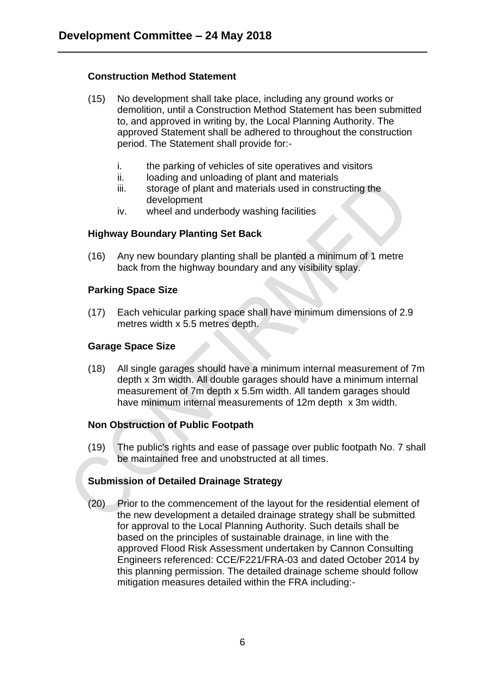## **Construction Method Statement**

- (15) No development shall take place, including any ground works or demolition, until a Construction Method Statement has been submitted to, and approved in writing by, the Local Planning Authority. The approved Statement shall be adhered to throughout the construction period. The Statement shall provide for:
	- i. the parking of vehicles of site operatives and visitors
	- ii. loading and unloading of plant and materials
	- iii. storage of plant and materials used in constructing the development
	- iv. wheel and underbody washing facilities

# **Highway Boundary Planting Set Back**

(16) Any new boundary planting shall be planted a minimum of 1 metre back from the highway boundary and any visibility splay.

### **Parking Space Size**

(17) Each vehicular parking space shall have minimum dimensions of 2.9 metres width x 5.5 metres depth.

### **Garage Space Size**

(18) All single garages should have a minimum internal measurement of 7m depth x 3m width. All double garages should have a minimum internal measurement of 7m depth x 5.5m width. All tandem garages should have minimum internal measurements of 12m depth x 3m width.

# **Non Obstruction of Public Footpath**

(19) The public's rights and ease of passage over public footpath No. 7 shall be maintained free and unobstructed at all times.

# **Submission of Detailed Drainage Strategy**

(20) Prior to the commencement of the layout for the residential element of the new development a detailed drainage strategy shall be submitted for approval to the Local Planning Authority. Such details shall be based on the principles of sustainable drainage, in line with the approved Flood Risk Assessment undertaken by Cannon Consulting Engineers referenced: CCE/F221/FRA-03 and dated October 2014 by this planning permission. The detailed drainage scheme should follow mitigation measures detailed within the FRA including:-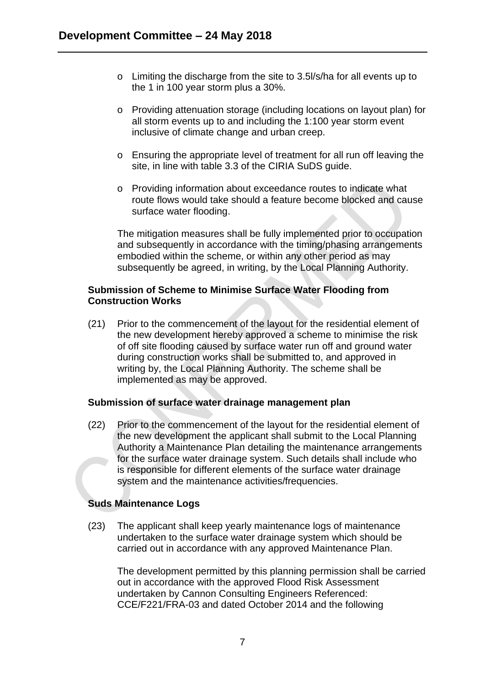- o Limiting the discharge from the site to 3.5l/s/ha for all events up to the 1 in 100 year storm plus a 30%.
- o Providing attenuation storage (including locations on layout plan) for all storm events up to and including the 1:100 year storm event inclusive of climate change and urban creep.
- o Ensuring the appropriate level of treatment for all run off leaving the site, in line with table 3.3 of the CIRIA SuDS guide.
- o Providing information about exceedance routes to indicate what route flows would take should a feature become blocked and cause surface water flooding.

The mitigation measures shall be fully implemented prior to occupation and subsequently in accordance with the timing/phasing arrangements embodied within the scheme, or within any other period as may subsequently be agreed, in writing, by the Local Planning Authority.

### **Submission of Scheme to Minimise Surface Water Flooding from Construction Works**

(21) Prior to the commencement of the layout for the residential element of the new development hereby approved a scheme to minimise the risk of off site flooding caused by surface water run off and ground water during construction works shall be submitted to, and approved in writing by, the Local Planning Authority. The scheme shall be implemented as may be approved.

#### **Submission of surface water drainage management plan**

(22) Prior to the commencement of the layout for the residential element of the new development the applicant shall submit to the Local Planning Authority a Maintenance Plan detailing the maintenance arrangements for the surface water drainage system. Such details shall include who is responsible for different elements of the surface water drainage system and the maintenance activities/frequencies.

# **Suds Maintenance Logs**

(23) The applicant shall keep yearly maintenance logs of maintenance undertaken to the surface water drainage system which should be carried out in accordance with any approved Maintenance Plan.

The development permitted by this planning permission shall be carried out in accordance with the approved Flood Risk Assessment undertaken by Cannon Consulting Engineers Referenced: CCE/F221/FRA-03 and dated October 2014 and the following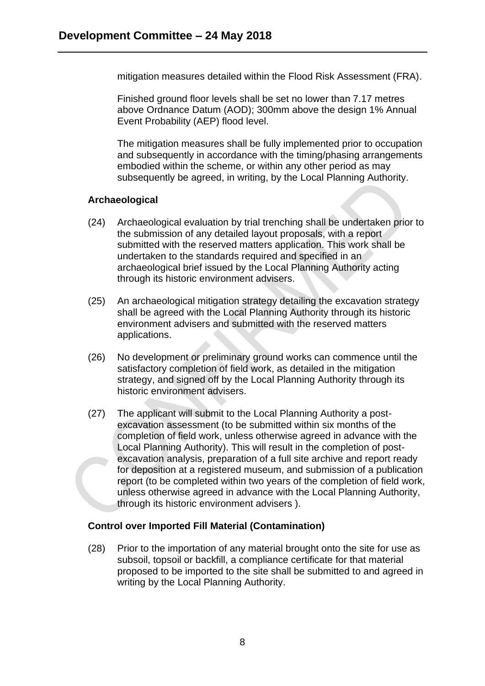mitigation measures detailed within the Flood Risk Assessment (FRA).

Finished ground floor levels shall be set no lower than 7.17 metres above Ordnance Datum (AOD); 300mm above the design 1% Annual Event Probability (AEP) flood level.

The mitigation measures shall be fully implemented prior to occupation and subsequently in accordance with the timing/phasing arrangements embodied within the scheme, or within any other period as may subsequently be agreed, in writing, by the Local Planning Authority.

# **Archaeological**

- (24) Archaeological evaluation by trial trenching shall be undertaken prior to the submission of any detailed layout proposals, with a report submitted with the reserved matters application. This work shall be undertaken to the standards required and specified in an archaeological brief issued by the Local Planning Authority acting through its historic environment advisers.
- (25) An archaeological mitigation strategy detailing the excavation strategy shall be agreed with the Local Planning Authority through its historic environment advisers and submitted with the reserved matters applications.
- (26) No development or preliminary ground works can commence until the satisfactory completion of field work, as detailed in the mitigation strategy, and signed off by the Local Planning Authority through its historic environment advisers.
- (27) The applicant will submit to the Local Planning Authority a postexcavation assessment (to be submitted within six months of the completion of field work, unless otherwise agreed in advance with the Local Planning Authority). This will result in the completion of postexcavation analysis, preparation of a full site archive and report ready for deposition at a registered museum, and submission of a publication report (to be completed within two years of the completion of field work, unless otherwise agreed in advance with the Local Planning Authority, through its historic environment advisers ).

# **Control over Imported Fill Material (Contamination)**

(28) Prior to the importation of any material brought onto the site for use as subsoil, topsoil or backfill, a compliance certificate for that material proposed to be imported to the site shall be submitted to and agreed in writing by the Local Planning Authority.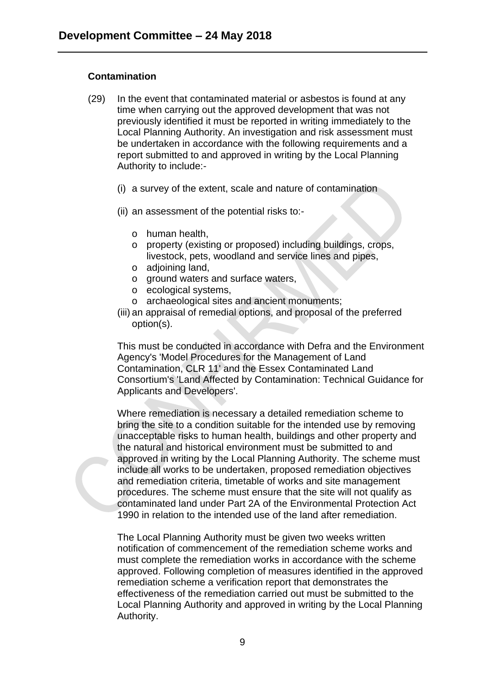### **Contamination**

- (29) In the event that contaminated material or asbestos is found at any time when carrying out the approved development that was not previously identified it must be reported in writing immediately to the Local Planning Authority. An investigation and risk assessment must be undertaken in accordance with the following requirements and a report submitted to and approved in writing by the Local Planning Authority to include:-
	- (i) a survey of the extent, scale and nature of contamination
	- (ii) an assessment of the potential risks to:
		- o human health,
		- o property (existing or proposed) including buildings, crops, livestock, pets, woodland and service lines and pipes,
		- o adjoining land,
		- o ground waters and surface waters,
		- o ecological systems,
		- o archaeological sites and ancient monuments;
	- (iii) an appraisal of remedial options, and proposal of the preferred option(s).

This must be conducted in accordance with Defra and the Environment Agency's 'Model Procedures for the Management of Land Contamination, CLR 11' and the Essex Contaminated Land Consortium's 'Land Affected by Contamination: Technical Guidance for Applicants and Developers'.

Where remediation is necessary a detailed remediation scheme to bring the site to a condition suitable for the intended use by removing unacceptable risks to human health, buildings and other property and the natural and historical environment must be submitted to and approved in writing by the Local Planning Authority. The scheme must include all works to be undertaken, proposed remediation objectives and remediation criteria, timetable of works and site management procedures. The scheme must ensure that the site will not qualify as contaminated land under Part 2A of the Environmental Protection Act 1990 in relation to the intended use of the land after remediation.

The Local Planning Authority must be given two weeks written notification of commencement of the remediation scheme works and must complete the remediation works in accordance with the scheme approved. Following completion of measures identified in the approved remediation scheme a verification report that demonstrates the effectiveness of the remediation carried out must be submitted to the Local Planning Authority and approved in writing by the Local Planning Authority.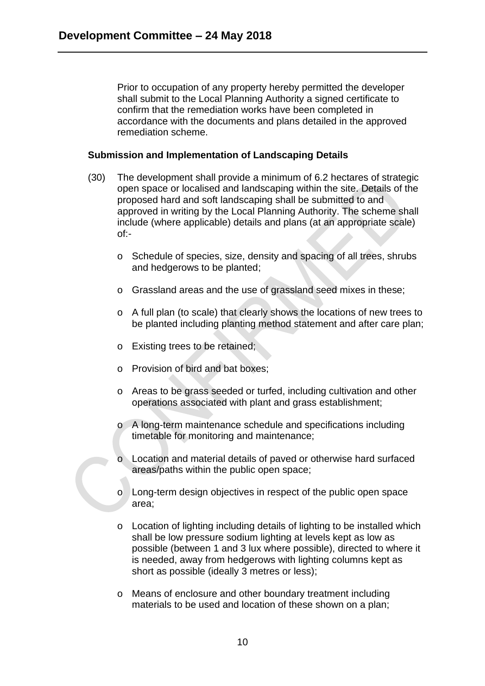Prior to occupation of any property hereby permitted the developer shall submit to the Local Planning Authority a signed certificate to confirm that the remediation works have been completed in accordance with the documents and plans detailed in the approved remediation scheme.

#### **Submission and Implementation of Landscaping Details**

- (30) The development shall provide a minimum of 6.2 hectares of strategic open space or localised and landscaping within the site. Details of the proposed hard and soft landscaping shall be submitted to and approved in writing by the Local Planning Authority. The scheme shall include (where applicable) details and plans (at an appropriate scale) of:
	- o Schedule of species, size, density and spacing of all trees, shrubs and hedgerows to be planted;
	- o Grassland areas and the use of grassland seed mixes in these;
	- o A full plan (to scale) that clearly shows the locations of new trees to be planted including planting method statement and after care plan;
	- o Existing trees to be retained;
	- o Provision of bird and bat boxes;
	- o Areas to be grass seeded or turfed, including cultivation and other operations associated with plant and grass establishment;
	- o A long-term maintenance schedule and specifications including timetable for monitoring and maintenance;
	- o Location and material details of paved or otherwise hard surfaced areas/paths within the public open space;
	- o Long-term design objectives in respect of the public open space area;
	- o Location of lighting including details of lighting to be installed which shall be low pressure sodium lighting at levels kept as low as possible (between 1 and 3 lux where possible), directed to where it is needed, away from hedgerows with lighting columns kept as short as possible (ideally 3 metres or less);
	- o Means of enclosure and other boundary treatment including materials to be used and location of these shown on a plan;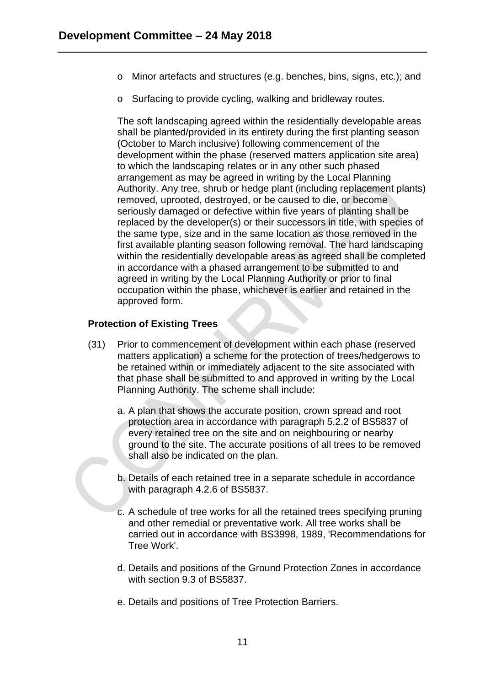- o Minor artefacts and structures (e.g. benches, bins, signs, etc.); and
- o Surfacing to provide cycling, walking and bridleway routes.

The soft landscaping agreed within the residentially developable areas shall be planted/provided in its entirety during the first planting season (October to March inclusive) following commencement of the development within the phase (reserved matters application site area) to which the landscaping relates or in any other such phased arrangement as may be agreed in writing by the Local Planning Authority. Any tree, shrub or hedge plant (including replacement plants) removed, uprooted, destroyed, or be caused to die, or become seriously damaged or defective within five years of planting shall be replaced by the developer(s) or their successors in title, with species of the same type, size and in the same location as those removed in the first available planting season following removal. The hard landscaping within the residentially developable areas as agreed shall be completed in accordance with a phased arrangement to be submitted to and agreed in writing by the Local Planning Authority or prior to final occupation within the phase, whichever is earlier and retained in the approved form.

### **Protection of Existing Trees**

- (31) Prior to commencement of development within each phase (reserved matters application) a scheme for the protection of trees/hedgerows to be retained within or immediately adjacent to the site associated with that phase shall be submitted to and approved in writing by the Local Planning Authority. The scheme shall include:
	- a. A plan that shows the accurate position, crown spread and root protection area in accordance with paragraph 5.2.2 of BS5837 of every retained tree on the site and on neighbouring or nearby ground to the site. The accurate positions of all trees to be removed shall also be indicated on the plan.
	- b. Details of each retained tree in a separate schedule in accordance with paragraph 4.2.6 of BS5837.
	- c. A schedule of tree works for all the retained trees specifying pruning and other remedial or preventative work. All tree works shall be carried out in accordance with BS3998, 1989, 'Recommendations for Tree Work'.
	- d. Details and positions of the Ground Protection Zones in accordance with section 9.3 of BS5837.
	- e. Details and positions of Tree Protection Barriers.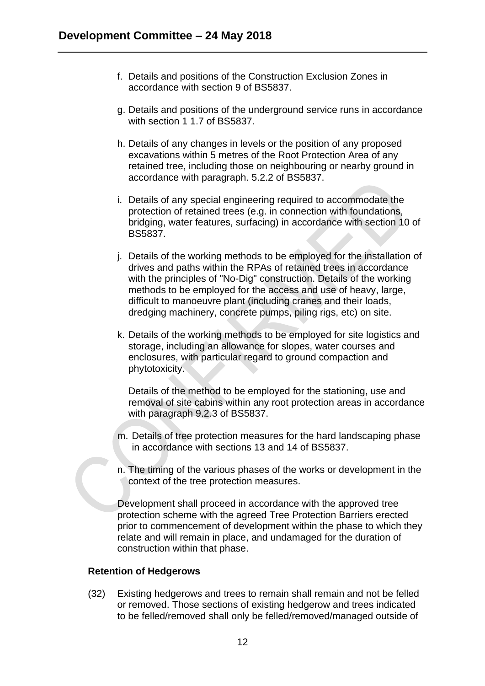- f. Details and positions of the Construction Exclusion Zones in accordance with section 9 of BS5837.
- g. Details and positions of the underground service runs in accordance with section 1 1.7 of BS5837.
- h. Details of any changes in levels or the position of any proposed excavations within 5 metres of the Root Protection Area of any retained tree, including those on neighbouring or nearby ground in accordance with paragraph. 5.2.2 of BS5837.
- i. Details of any special engineering required to accommodate the protection of retained trees (e.g. in connection with foundations, bridging, water features, surfacing) in accordance with section 10 of BS5837.
- j. Details of the working methods to be employed for the installation of drives and paths within the RPAs of retained trees in accordance with the principles of "No-Dig" construction. Details of the working methods to be employed for the access and use of heavy, large, difficult to manoeuvre plant (including cranes and their loads, dredging machinery, concrete pumps, piling rigs, etc) on site.
- k. Details of the working methods to be employed for site logistics and storage, including an allowance for slopes, water courses and enclosures, with particular regard to ground compaction and phytotoxicity.

Details of the method to be employed for the stationing, use and removal of site cabins within any root protection areas in accordance with paragraph 9.2.3 of BS5837.

- m. Details of tree protection measures for the hard landscaping phase in accordance with sections 13 and 14 of BS5837.
- n. The timing of the various phases of the works or development in the context of the tree protection measures.

Development shall proceed in accordance with the approved tree protection scheme with the agreed Tree Protection Barriers erected prior to commencement of development within the phase to which they relate and will remain in place, and undamaged for the duration of construction within that phase.

#### **Retention of Hedgerows**

(32) Existing hedgerows and trees to remain shall remain and not be felled or removed. Those sections of existing hedgerow and trees indicated to be felled/removed shall only be felled/removed/managed outside of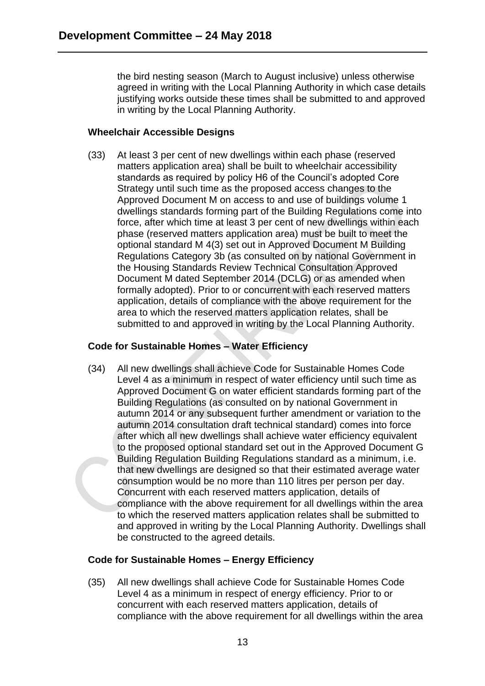the bird nesting season (March to August inclusive) unless otherwise agreed in writing with the Local Planning Authority in which case details justifying works outside these times shall be submitted to and approved in writing by the Local Planning Authority.

### **Wheelchair Accessible Designs**

(33) At least 3 per cent of new dwellings within each phase (reserved matters application area) shall be built to wheelchair accessibility standards as required by policy H6 of the Council's adopted Core Strategy until such time as the proposed access changes to the Approved Document M on access to and use of buildings volume 1 dwellings standards forming part of the Building Regulations come into force, after which time at least 3 per cent of new dwellings within each phase (reserved matters application area) must be built to meet the optional standard M 4(3) set out in Approved Document M Building Regulations Category 3b (as consulted on by national Government in the Housing Standards Review Technical Consultation Approved Document M dated September 2014 (DCLG) or as amended when formally adopted). Prior to or concurrent with each reserved matters application, details of compliance with the above requirement for the area to which the reserved matters application relates, shall be submitted to and approved in writing by the Local Planning Authority.

### **Code for Sustainable Homes – Water Efficiency**

(34) All new dwellings shall achieve Code for Sustainable Homes Code Level 4 as a minimum in respect of water efficiency until such time as Approved Document G on water efficient standards forming part of the Building Regulations (as consulted on by national Government in autumn 2014 or any subsequent further amendment or variation to the autumn 2014 consultation draft technical standard) comes into force after which all new dwellings shall achieve water efficiency equivalent to the proposed optional standard set out in the Approved Document G Building Regulation Building Regulations standard as a minimum, i.e. that new dwellings are designed so that their estimated average water consumption would be no more than 110 litres per person per day. Concurrent with each reserved matters application, details of compliance with the above requirement for all dwellings within the area to which the reserved matters application relates shall be submitted to and approved in writing by the Local Planning Authority. Dwellings shall be constructed to the agreed details.

# **Code for Sustainable Homes – Energy Efficiency**

(35) All new dwellings shall achieve Code for Sustainable Homes Code Level 4 as a minimum in respect of energy efficiency. Prior to or concurrent with each reserved matters application, details of compliance with the above requirement for all dwellings within the area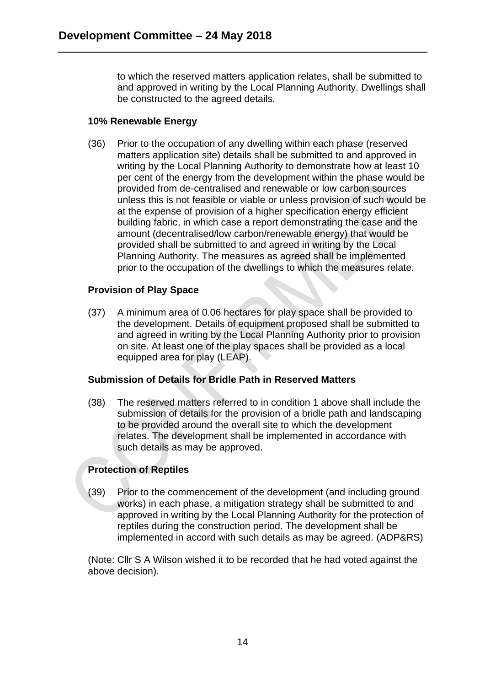to which the reserved matters application relates, shall be submitted to and approved in writing by the Local Planning Authority. Dwellings shall be constructed to the agreed details.

# **10% Renewable Energy**

(36) Prior to the occupation of any dwelling within each phase (reserved matters application site) details shall be submitted to and approved in writing by the Local Planning Authority to demonstrate how at least 10 per cent of the energy from the development within the phase would be provided from de-centralised and renewable or low carbon sources unless this is not feasible or viable or unless provision of such would be at the expense of provision of a higher specification energy efficient building fabric, in which case a report demonstrating the case and the amount (decentralised/low carbon/renewable energy) that would be provided shall be submitted to and agreed in writing by the Local Planning Authority. The measures as agreed shall be implemented prior to the occupation of the dwellings to which the measures relate.

# **Provision of Play Space**

(37) A minimum area of 0.06 hectares for play space shall be provided to the development. Details of equipment proposed shall be submitted to and agreed in writing by the Local Planning Authority prior to provision on site. At least one of the play spaces shall be provided as a local equipped area for play (LEAP).

# **Submission of Details for Bridle Path in Reserved Matters**

(38) The reserved matters referred to in condition 1 above shall include the submission of details for the provision of a bridle path and landscaping to be provided around the overall site to which the development relates. The development shall be implemented in accordance with such details as may be approved.

# **Protection of Reptiles**

(39) Prior to the commencement of the development (and including ground works) in each phase, a mitigation strategy shall be submitted to and approved in writing by the Local Planning Authority for the protection of reptiles during the construction period. The development shall be implemented in accord with such details as may be agreed. (ADP&RS)

(Note: Cllr S A Wilson wished it to be recorded that he had voted against the above decision).